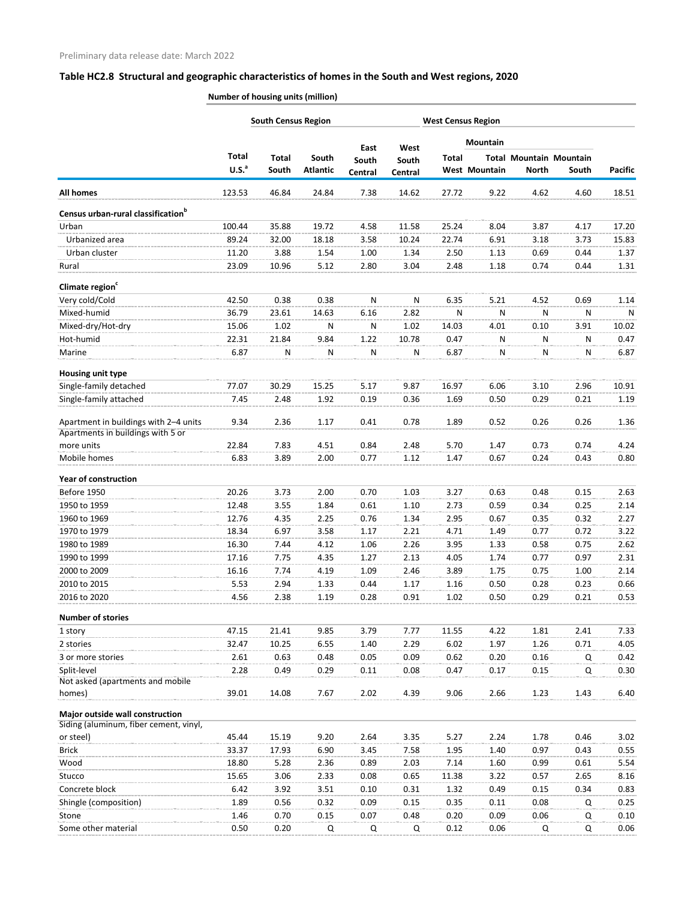|                                                                           |                                   | <b>South Census Region</b> |                          |                  |                  |              | <b>West Census Region</b> |                                                |       |                |
|---------------------------------------------------------------------------|-----------------------------------|----------------------------|--------------------------|------------------|------------------|--------------|---------------------------|------------------------------------------------|-------|----------------|
|                                                                           |                                   |                            |                          | East             | West             |              | <b>Mountain</b>           |                                                |       |                |
|                                                                           | <b>Total</b><br>U.S. <sup>a</sup> | <b>Total</b><br>South      | South<br><b>Atlantic</b> | South<br>Central | South<br>Central | <b>Total</b> | <b>West Mountain</b>      | <b>Total Mountain Mountain</b><br><b>North</b> | South | <b>Pacific</b> |
| <b>All homes</b>                                                          | 123.53                            | 46.84                      | 24.84                    | 7.38             | 14.62            | 27.72        | 9.22                      | 4.62                                           | 4.60  | 18.51          |
| Census urban-rural classification <sup>b</sup>                            |                                   |                            |                          |                  |                  |              |                           |                                                |       |                |
| Urban                                                                     | 100.44                            | 35.88                      | 19.72                    | 4.58             | 11.58            | 25.24        | 8.04                      | 3.87                                           | 4.17  | 17.20          |
| Urbanized area                                                            | 89.24                             | 32.00                      | 18.18                    | 3.58             | 10.24            | 22.74        | 6.91                      | 3.18                                           | 3.73  | 15.83          |
| Urban cluster                                                             | 11.20                             | 3.88                       | 1.54                     | 1.00             | 1.34             | 2.50         | 1.13                      | 0.69                                           | 0.44  | 1.37           |
| Rural                                                                     | 23.09                             | 10.96                      | 5.12                     | 2.80             | 3.04             | 2.48         | 1.18                      | 0.74                                           | 0.44  | 1.31           |
| Climate region <sup>c</sup>                                               |                                   |                            |                          |                  |                  |              |                           |                                                |       |                |
| Very cold/Cold                                                            | 42.50                             | 0.38                       | 0.38                     | N                | N                | 6.35         | 5.21                      | 4.52                                           | 0.69  | 1.14           |
| Mixed-humid                                                               | 36.79                             | 23.61                      | 14.63                    | 6.16             | 2.82             | N            | Ν                         | N                                              | N     | N              |
| Mixed-dry/Hot-dry                                                         | 15.06                             | 1.02                       | N                        | N                | 1.02             | 14.03        | 4.01                      | 0.10                                           | 3.91  | 10.02          |
| Hot-humid                                                                 | 22.31                             | 21.84                      | 9.84                     | 1.22             | 10.78            | 0.47         | N                         | N                                              | N     | 0.47           |
| Marine                                                                    | 6.87                              | Ν                          | N                        | N                | ${\sf N}$        | 6.87         | ${\sf N}$                 | N                                              | N     | 6.87           |
| Housing unit type                                                         |                                   |                            |                          |                  |                  |              |                           |                                                |       |                |
| Single-family detached                                                    | 77.07                             | 30.29                      | 15.25                    | 5.17             | 9.87             | 16.97        | 6.06                      | 3.10                                           | 2.96  | 10.91          |
| Single-family attached                                                    | 7.45                              | 2.48                       | 1.92                     | 0.19             | 0.36             | 1.69         | 0.50                      | 0.29                                           | 0.21  | 1.19           |
| Apartment in buildings with 2-4 units                                     | 9.34                              | 2.36                       | 1.17                     | 0.41             | 0.78             | 1.89         | 0.52                      | 0.26                                           | 0.26  | 1.36           |
| Apartments in buildings with 5 or<br>more units                           | 22.84                             | 7.83                       | 4.51                     | 0.84             | 2.48             | 5.70         | 1.47                      | 0.73                                           | 0.74  | 4.24           |
| Mobile homes                                                              | 6.83                              | 3.89                       | 2.00                     | 0.77             | 1.12             | 1.47         | 0.67                      | 0.24                                           | 0.43  | 0.80           |
|                                                                           |                                   |                            |                          |                  |                  |              |                           |                                                |       |                |
| Year of construction                                                      |                                   |                            |                          |                  |                  |              |                           |                                                |       |                |
| Before 1950                                                               | 20.26                             | 3.73                       | 2.00                     | 0.70             | 1.03             | 3.27         | 0.63                      | 0.48                                           | 0.15  | 2.63           |
| 1950 to 1959                                                              | 12.48                             | 3.55                       | 1.84                     | 0.61             | 1.10             | 2.73         | 0.59                      | 0.34                                           | 0.25  | 2.14           |
| 1960 to 1969                                                              | 12.76                             | 4.35                       | 2.25                     | 0.76             | 1.34             | 2.95         | 0.67                      | 0.35                                           | 0.32  | 2.27           |
| 1970 to 1979                                                              | 18.34                             | 6.97                       | 3.58                     | 1.17             | 2.21             | 4.71         | 1.49                      | 0.77                                           | 0.72  | 3.22           |
| 1980 to 1989                                                              | 16.30                             | 7.44                       | 4.12                     | 1.06             | 2.26             | 3.95         | 1.33                      | 0.58                                           | 0.75  | 2.62           |
| 1990 to 1999                                                              | 17.16                             | 7.75                       | 4.35                     | 1.27             | 2.13             | 4.05         | 1.74                      | 0.77                                           | 0.97  | 2.31           |
| 2000 to 2009                                                              | 16.16                             | 7.74                       | 4.19                     | 1.09             | 2.46             | 3.89         | 1.75                      | 0.75                                           | 1.00  | 2.14           |
| 2010 to 2015                                                              | 5.53                              | 2.94                       | 1.33                     | 0.44             | 1.17             | 1.16         | 0.50                      | 0.28                                           | 0.23  | 0.66           |
| 2016 to 2020                                                              | 4.56                              | 2.38                       | 1.19                     | 0.28             | 0.91             | 1.02         | 0.50                      | 0.29                                           | 0.21  | 0.53           |
| <b>Number of stories</b>                                                  |                                   |                            |                          |                  |                  |              |                           |                                                |       |                |
| 1 story                                                                   | 47.15                             | 21.41                      | 9.85                     | 3.79             | 7.77             | 11.55        | 4.22                      | 1.81                                           | 2.41  | 7.33           |
| 2 stories                                                                 | 32.47                             | 10.25                      | 6.55                     | 1.40             | 2.29             | 6.02         | 1.97                      | 1.26                                           | 0.71  | 4.05           |
| 3 or more stories                                                         | 2.61                              | 0.63                       | 0.48                     | 0.05             | 0.09             | 0.62         | 0.20                      | 0.16                                           | Q     | 0.42           |
| Split-level<br>Not asked (apartments and mobile                           | 2.28                              | 0.49                       | 0.29                     | 0.11             | 0.08             | 0.47         | 0.17                      | 0.15                                           | Q     | 0.30           |
| homes)                                                                    | 39.01                             | 14.08                      | 7.67                     | 2.02             | 4.39             | 9.06         | 2.66                      | 1.23                                           | 1.43  | 6.40           |
| Major outside wall construction<br>Siding (aluminum, fiber cement, vinyl, |                                   |                            |                          |                  |                  |              |                           |                                                |       |                |
| or steel)                                                                 | 45.44                             | 15.19                      | 9.20                     | 2.64             | 3.35             | 5.27         | 2.24                      | 1.78                                           | 0.46  | 3.02           |
| <b>Brick</b>                                                              | 33.37                             | 17.93                      | 6.90                     | 3.45             | 7.58             | 1.95         | 1.40                      | 0.97                                           | 0.43  | 0.55           |
| Wood                                                                      | 18.80                             | 5.28                       | 2.36                     | 0.89             | 2.03             | 7.14         | 1.60                      | 0.99                                           | 0.61  | 5.54           |
| Stucco                                                                    | 15.65                             | 3.06                       | 2.33                     | 0.08             | 0.65             | 11.38        | 3.22                      | 0.57                                           | 2.65  | 8.16           |
| Concrete block                                                            | 6.42                              | 3.92                       | 3.51                     | 0.10             | 0.31             | 1.32         | 0.49                      | 0.15                                           | 0.34  | 0.83           |
| Shingle (composition)                                                     | 1.89                              | 0.56                       | 0.32                     | 0.09             | 0.15             | 0.35         | 0.11                      | 0.08                                           | Q     | 0.25           |
| Stone                                                                     | 1.46                              | 0.70                       | 0.15                     | 0.07             | 0.48             | 0.20         | 0.09                      | 0.06                                           | Q     | 0.10           |
| Some other material                                                       | 0.50                              | 0.20                       | Q                        | Q                | Q                | 0.12         | 0.06                      | Q                                              | Q     | 0.06           |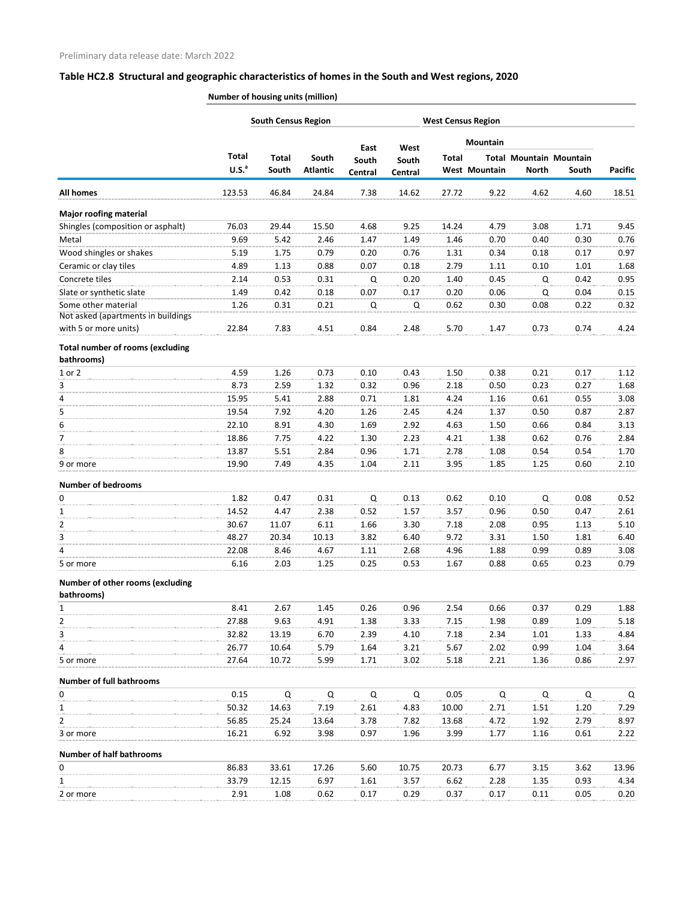|                                                       |                                   | <b>South Census Region</b> |                          |                  |                  |              | <b>West Census Region</b> |                                                |       |                |
|-------------------------------------------------------|-----------------------------------|----------------------------|--------------------------|------------------|------------------|--------------|---------------------------|------------------------------------------------|-------|----------------|
|                                                       |                                   |                            |                          | East             | West             |              | Mountain                  |                                                |       |                |
|                                                       | <b>Total</b><br>U.S. <sup>a</sup> | Total<br>South             | South<br><b>Atlantic</b> | South<br>Central | South<br>Central | <b>Total</b> | West Mountain             | <b>Total Mountain Mountain</b><br><b>North</b> | South | <b>Pacific</b> |
| <b>All homes</b>                                      | 123.53                            | 46.84                      | 24.84                    | 7.38             | 14.62            | 27.72        | 9.22                      | 4.62                                           | 4.60  | 18.51          |
| <b>Major roofing material</b>                         |                                   |                            |                          |                  |                  |              |                           |                                                |       |                |
| Shingles (composition or asphalt)                     | 76.03                             | 29.44                      | 15.50                    | 4.68             | 9.25             | 14.24        | 4.79                      | 3.08                                           | 1.71  | 9.45           |
| Metal                                                 | 9.69                              | 5.42                       | 2.46                     | 1.47             | 1.49             | 1.46         | 0.70                      | 0.40                                           | 0.30  | 0.76           |
| Wood shingles or shakes                               | 5.19                              | 1.75                       | 0.79                     | 0.20             | 0.76             | 1.31         | 0.34                      | 0.18                                           | 0.17  | 0.97           |
| Ceramic or clay tiles                                 | 4.89                              | 1.13                       | 0.88                     | 0.07             | 0.18             | 2.79         | 1.11                      | 0.10                                           | 1.01  | 1.68           |
| Concrete tiles                                        | 2.14                              | 0.53                       | 0.31                     | Q                | 0.20             | 1.40         | 0.45                      | Q                                              | 0.42  | 0.95           |
| Slate or synthetic slate                              | 1.49                              | 0.42                       | 0.18                     | 0.07             | 0.17             | 0.20         | 0.06                      | Q                                              | 0.04  | 0.15           |
| Some other material                                   | 1.26                              | 0.31                       | 0.21                     | Q                | Q                | 0.62         | 0.30                      | 0.08                                           | 0.22  | 0.32           |
| Not asked (apartments in buildings                    |                                   |                            |                          |                  |                  |              |                           |                                                |       |                |
| with 5 or more units)                                 | 22.84                             | 7.83                       | 4.51                     | 0.84             | 2.48             | 5.70         | 1.47                      | 0.73                                           | 0.74  | 4.24           |
| <b>Total number of rooms (excluding</b><br>bathrooms) |                                   |                            |                          |                  |                  |              |                           |                                                |       |                |
| 1 or 2                                                | 4.59                              | 1.26                       | 0.73                     | 0.10             | 0.43             | 1.50         | 0.38                      | 0.21                                           | 0.17  | 1.12           |
| 3                                                     | 8.73                              | 2.59                       | 1.32                     | 0.32             | 0.96             | 2.18         | 0.50                      | 0.23                                           | 0.27  | 1.68           |
| 4                                                     | 15.95                             | 5.41                       | 2.88                     | 0.71             | 1.81             | 4.24         | 1.16                      | 0.61                                           | 0.55  | 3.08           |
| 5                                                     | 19.54                             | 7.92                       | 4.20                     | 1.26             | 2.45             | 4.24         | 1.37                      | 0.50                                           | 0.87  | 2.87           |
| 6                                                     | 22.10                             | 8.91                       | 4.30                     | 1.69             | 2.92             | 4.63         | 1.50                      | 0.66                                           | 0.84  | 3.13           |
| 7                                                     | 18.86                             | 7.75                       | 4.22                     | 1.30             | 2.23             | 4.21         | 1.38                      | 0.62                                           | 0.76  | 2.84           |
| 8                                                     | 13.87                             | 5.51                       | 2.84                     | 0.96             | 1.71             | 2.78         | 1.08                      | 0.54                                           | 0.54  | 1.70           |
| 9 or more                                             | 19.90                             | 7.49                       | 4.35                     | 1.04             | 2.11             | 3.95         | 1.85                      | 1.25                                           | 0.60  | 2.10           |
| <b>Number of bedrooms</b>                             |                                   |                            |                          |                  |                  |              |                           |                                                |       |                |
| 0                                                     | 1.82                              | 0.47                       | 0.31                     | Q                | 0.13             | 0.62         | 0.10                      | Q                                              | 0.08  | 0.52           |
| 1                                                     | 14.52                             | 4.47                       | 2.38                     | 0.52             | 1.57             | 3.57         | 0.96                      | 0.50                                           | 0.47  | 2.61           |
| $\mathcal{P}$                                         | 30.67                             | 11.07                      | 6.11                     | 1.66             | 3.30             | 7.18         | 2.08                      | 0.95                                           | 1.13  | 5.10           |
| 3                                                     | 48.27                             | 20.34                      | 10.13                    | 3.82             | 6.40             | 9.72         | 3.31                      | 1.50                                           | 1.81  | 6.40           |
| 4                                                     | 22.08                             | 8.46                       | 4.67                     | 1.11             | 2.68             | 4.96         | 1.88                      | 0.99                                           | 0.89  | 3.08           |
| 5 or more                                             | 6.16                              | 2.03                       | 1.25                     | 0.25             | 0.53             | 1.67         | 0.88                      | 0.65                                           | 0.23  | 0.79           |
| Number of other rooms (excluding<br>bathrooms)        |                                   |                            |                          |                  |                  |              |                           |                                                |       |                |
| $\mathbf{1}$                                          | 8.41                              | 2.67                       | 1.45                     | 0.26             | 0.96             | 2.54         | 0.66                      | 0.37                                           | 0.29  | 1.88           |
| 2                                                     | 27.88                             | 9.63                       | 4.91                     | 1.38             | 3.33             | 7.15         | 1.98                      | 0.89                                           | 1.09  | 5.18           |
| 3                                                     | 32.82                             | 13.19                      | 6.70                     | 2.39             | 4.10             | 7.18         | 2.34                      | 1.01                                           | 1.33  | 4.84           |
| 4                                                     | 26.77                             | 10.64                      | 5.79                     | 1.64             | 3.21             | 5.67         | 2.02                      | 0.99                                           | 1.04  | 3.64           |
| 5 or more                                             | 27.64                             | 10.72                      | 5.99                     | 1.71             | 3.02             | 5.18         | 2.21                      | 1.36                                           | 0.86  | 2.97           |
| <b>Number of full bathrooms</b>                       |                                   |                            |                          |                  |                  |              |                           |                                                |       |                |
| 0                                                     | 0.15                              | Q                          | Q                        | Q                | Q                | 0.05         | Q                         | Q                                              | Q     | Q              |
| 1                                                     | 50.32                             | 14.63                      | 7.19                     | 2.61             | 4.83             | 10.00        | 2.71                      | 1.51                                           | 1.20  | 7.29           |
| 2                                                     | 56.85                             | 25.24                      | 13.64                    | 3.78             | 7.82             | 13.68        | 4.72                      | 1.92                                           | 2.79  | 8.97           |
| 3 or more                                             | 16.21                             | 6.92                       | 3.98                     | 0.97             | 1.96             | 3.99         | 1.77                      | 1.16                                           | 0.61  | 2.22           |
| <b>Number of half bathrooms</b>                       |                                   |                            |                          |                  |                  |              |                           |                                                |       |                |
| 0                                                     | 86.83                             | 33.61                      | 17.26                    | 5.60             | 10.75            | 20.73        | 6.77                      | 3.15                                           | 3.62  | 13.96          |
| 1                                                     | 33.79                             | 12.15                      | 6.97                     | 1.61             | 3.57             | 6.62         | 2.28                      | 1.35                                           | 0.93  | 4.34           |
| 2 or more                                             | 2.91                              | 1.08                       | 0.62                     | 0.17             | 0.29             | 0.37         | 0.17                      | 0.11                                           | 0.05  | 0.20           |
|                                                       |                                   |                            |                          |                  |                  |              |                           |                                                |       |                |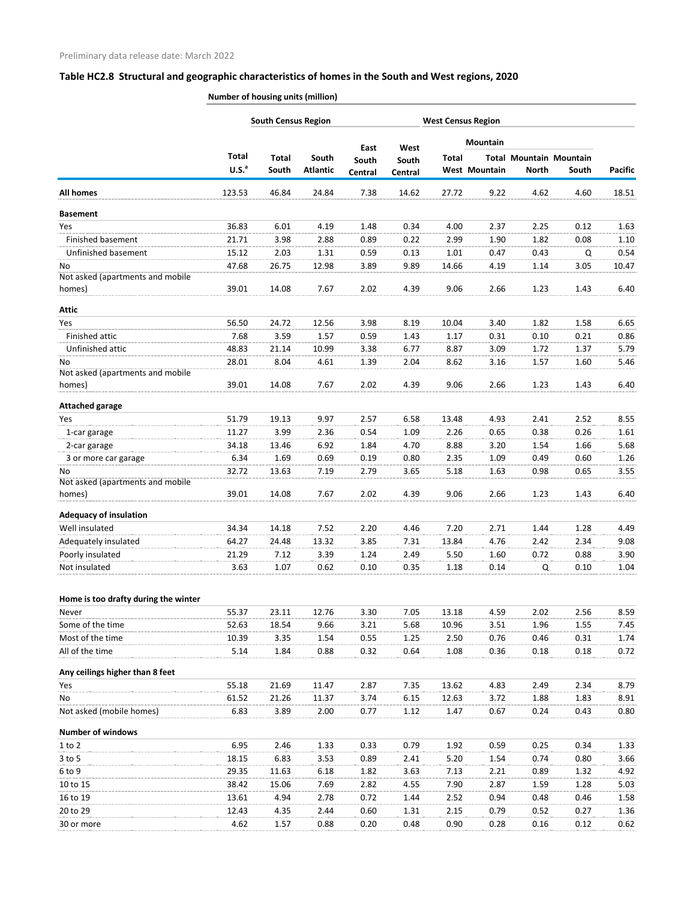|                                            |                                   | <b>South Census Region</b> |                          |                  |                  |              | <b>West Census Region</b> |                                                |       |                |
|--------------------------------------------|-----------------------------------|----------------------------|--------------------------|------------------|------------------|--------------|---------------------------|------------------------------------------------|-------|----------------|
|                                            |                                   |                            |                          | East             | West             |              | Mountain                  |                                                |       |                |
|                                            | <b>Total</b><br>U.S. <sup>a</sup> | <b>Total</b><br>South      | South<br><b>Atlantic</b> | South<br>Central | South<br>Central | <b>Total</b> | West Mountain             | <b>Total Mountain Mountain</b><br><b>North</b> | South | <b>Pacific</b> |
| <b>All homes</b>                           | 123.53                            | 46.84                      | 24.84                    | 7.38             | 14.62            | 27.72        | 9.22                      | 4.62                                           | 4.60  | 18.51          |
| <b>Basement</b>                            |                                   |                            |                          |                  |                  |              |                           |                                                |       |                |
| Yes                                        | 36.83                             | 6.01                       | 4.19                     | 1.48             | 0.34             | 4.00         | 2.37                      | 2.25                                           | 0.12  | 1.63           |
| Finished basement                          | 21.71                             | 3.98                       | 2.88                     | 0.89             | 0.22             | 2.99         | 1.90                      | 1.82                                           | 0.08  | 1.10           |
| Unfinished basement                        | 15.12                             | 2.03                       | 1.31                     | 0.59             | 0.13             | 1.01         | 0.47                      | 0.43                                           | Q     | 0.54           |
| No                                         | 47.68                             | 26.75                      | 12.98                    | 3.89             | 9.89             | 14.66        | 4.19                      | 1.14                                           | 3.05  | 10.47          |
| Not asked (apartments and mobile<br>homes) | 39.01                             | 14.08                      | 7.67                     | 2.02             | 4.39             | 9.06         | 2.66                      | 1.23                                           | 1.43  | 6.40           |
| <b>Attic</b>                               |                                   |                            |                          |                  |                  |              |                           |                                                |       |                |
| Yes                                        | 56.50                             | 24.72                      | 12.56                    | 3.98             | 8.19             | 10.04        | 3.40                      | 1.82                                           | 1.58  | 6.65           |
| Finished attic                             | 7.68                              | 3.59                       | 1.57                     | 0.59             | 1.43             | 1.17         | 0.31                      | 0.10                                           | 0.21  | 0.86           |
| Unfinished attic                           | 48.83                             | 21.14                      | 10.99                    | 3.38             | 6.77             | 8.87         | 3.09                      | 1.72                                           | 1.37  | 5.79           |
| No<br>Not asked (apartments and mobile     | 28.01                             | 8.04                       | 4.61                     | 1.39             | 2.04             | 8.62         | 3.16                      | 1.57                                           | 1.60  | 5.46           |
| homes)                                     | 39.01                             | 14.08                      | 7.67                     | 2.02             | 4.39             | 9.06         | 2.66                      | 1.23                                           | 1.43  | 6.40           |
| <b>Attached garage</b>                     |                                   |                            |                          |                  |                  |              |                           |                                                |       |                |
| Yes                                        | 51.79                             | 19.13                      | 9.97                     | 2.57             | 6.58             | 13.48        | 4.93                      | 2.41                                           | 2.52  | 8.55           |
| 1-car garage                               | 11.27                             | 3.99                       | 2.36                     | 0.54             | 1.09             | 2.26         | 0.65                      | 0.38                                           | 0.26  | 1.61           |
| 2-car garage                               | 34.18                             | 13.46                      | 6.92                     | 1.84             | 4.70             | 8.88         | 3.20                      | 1.54                                           | 1.66  | 5.68           |
| 3 or more car garage                       | 6.34                              | 1.69                       | 0.69                     | 0.19             | 0.80             | 2.35         | 1.09                      | 0.49                                           | 0.60  | 1.26           |
| No<br>Not asked (apartments and mobile     | 32.72                             | 13.63                      | 7.19                     | 2.79             | 3.65             | 5.18         | 1.63                      | 0.98                                           | 0.65  | 3.55           |
| homes)                                     | 39.01                             | 14.08                      | 7.67                     | 2.02             | 4.39             | 9.06         | 2.66                      | 1.23                                           | 1.43  | 6.40           |
| <b>Adequacy of insulation</b>              |                                   |                            |                          |                  |                  |              |                           |                                                |       |                |
| Well insulated                             | 34.34                             | 14.18                      | 7.52                     | 2.20             | 4.46             | 7.20         | 2.71                      | 1.44                                           | 1.28  | 4.49           |
| Adequately insulated                       | 64.27                             | 24.48                      | 13.32                    | 3.85             | 7.31             | 13.84        | 4.76                      | 2.42                                           | 2.34  | 9.08           |
| Poorly insulated                           | 21.29                             | 7.12                       | 3.39                     | 1.24             | 2.49             | 5.50         | 1.60                      | 0.72                                           | 0.88  | 3.90           |
| Not insulated                              | 3.63                              | 1.07                       | 0.62                     | 0.10             | 0.35             | 1.18         | 0.14                      | Q                                              | 0.10  | 1.04           |
| Home is too drafty during the winter       |                                   |                            |                          |                  |                  |              |                           |                                                |       |                |
| Never                                      | 55.37                             | 23.11                      | 12.76                    | 3.30             | 7.05             | 13.18        | 4.59                      | 2.02                                           | 2.56  | 8.59           |
| Some of the time                           | 52.63                             | 18.54                      | 9.66                     | 3.21             | 5.68             | 10.96        | 3.51                      | 1.96                                           | 1.55  | 7.45           |
| Most of the time                           | 10.39                             | 3.35                       | 1.54                     | 0.55             | 1.25             | 2.50         | 0.76                      | 0.46                                           | 0.31  | 1.74           |
| All of the time                            | 5.14                              | 1.84                       | 0.88                     | 0.32             | 0.64             | 1.08         | 0.36                      | 0.18                                           | 0.18  | 0.72           |
| Any ceilings higher than 8 feet            |                                   |                            |                          |                  |                  |              |                           |                                                |       |                |
| Yes                                        | 55.18                             | 21.69                      | 11.47                    | 2.87             | 7.35             | 13.62        | 4.83                      | 2.49                                           | 2.34  | 8.79           |
| No                                         | 61.52                             | 21.26                      | 11.37                    | 3.74             | 6.15             | 12.63        | 3.72                      | 1.88                                           | 1.83  | 8.91           |
| Not asked (mobile homes)                   | 6.83                              | 3.89                       | 2.00                     | 0.77             | 1.12             | 1.47         | 0.67                      | 0.24                                           | 0.43  | 0.80           |
| <b>Number of windows</b>                   |                                   |                            |                          |                  |                  |              |                           |                                                |       |                |
| $1$ to $2$                                 | 6.95                              | 2.46                       | 1.33                     | 0.33             | 0.79             | 1.92         | 0.59                      | 0.25                                           | 0.34  | 1.33           |
| 3 to 5                                     | 18.15                             | 6.83                       | 3.53                     | 0.89             | 2.41             | 5.20         | 1.54                      | 0.74                                           | 0.80  | 3.66           |
| 6 to 9                                     | 29.35                             | 11.63                      | 6.18                     | 1.82             | 3.63             | 7.13         | 2.21                      | 0.89                                           | 1.32  | 4.92           |
| 10 to 15                                   | 38.42                             | 15.06                      | 7.69                     | 2.82             | 4.55             | 7.90         | 2.87                      | 1.59                                           | 1.28  | 5.03           |
| 16 to 19                                   | 13.61                             | 4.94                       | 2.78                     | 0.72             | 1.44             | 2.52         | 0.94                      | 0.48                                           | 0.46  | 1.58           |
| 20 to 29                                   | 12.43                             | 4.35                       | 2.44                     | 0.60             | 1.31             | 2.15         | 0.79                      | 0.52                                           | 0.27  | 1.36           |
| 30 or more                                 | 4.62                              | 1.57                       | 0.88                     | 0.20             | 0.48             | 0.90         | 0.28                      | 0.16                                           | 0.12  | 0.62           |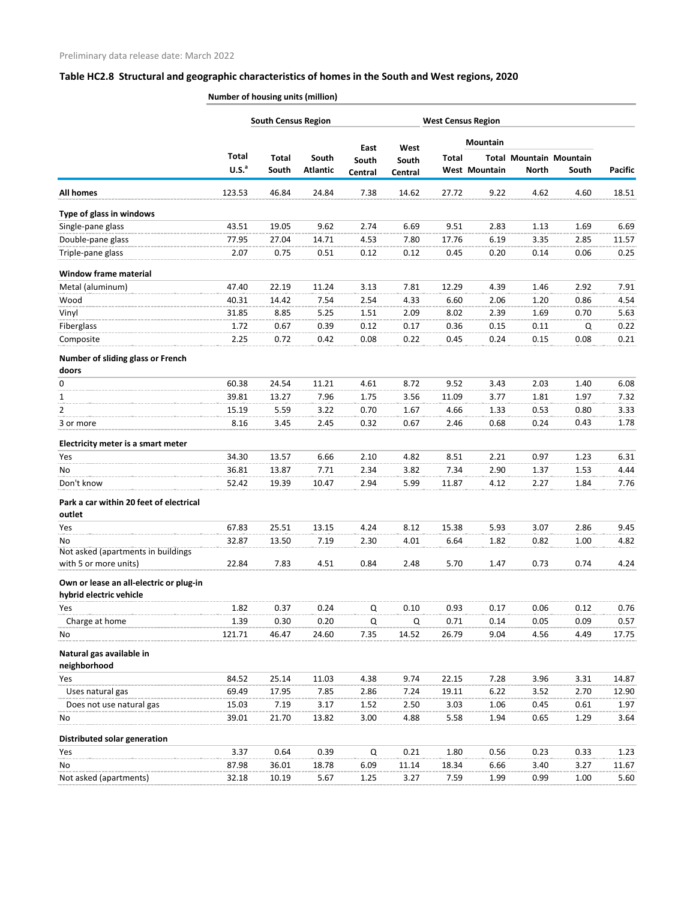|                                                                    |                   | <b>South Census Region</b> |                 |                |               | <b>West Census Region</b> |               |              |                                |                |  |  |
|--------------------------------------------------------------------|-------------------|----------------------------|-----------------|----------------|---------------|---------------------------|---------------|--------------|--------------------------------|----------------|--|--|
|                                                                    |                   |                            |                 |                |               |                           | Mountain      |              |                                |                |  |  |
|                                                                    | <b>Total</b>      | <b>Total</b>               | South           | East<br>South  | West<br>South | Total                     |               |              | <b>Total Mountain Mountain</b> |                |  |  |
|                                                                    | U.S. <sup>a</sup> | South                      | <b>Atlantic</b> | <b>Central</b> | Central       |                           | West Mountain | <b>North</b> | South                          | <b>Pacific</b> |  |  |
| All homes                                                          | 123.53            | 46.84                      | 24.84           | 7.38           | 14.62         | 27.72                     | 9.22          | 4.62         | 4.60                           | 18.51          |  |  |
| Type of glass in windows                                           |                   |                            |                 |                |               |                           |               |              |                                |                |  |  |
| Single-pane glass                                                  | 43.51             | 19.05                      | 9.62            | 2.74           | 6.69          | 9.51                      | 2.83          | 1.13         | 1.69                           | 6.69           |  |  |
| Double-pane glass                                                  | 77.95             | 27.04                      | 14.71           | 4.53           | 7.80          | 17.76                     | 6.19          | 3.35         | 2.85                           | 11.57          |  |  |
| Triple-pane glass                                                  | 2.07              | 0.75                       | 0.51            | 0.12           | 0.12          | 0.45                      | 0.20          | 0.14         | 0.06                           | 0.25           |  |  |
| <b>Window frame material</b>                                       |                   |                            |                 |                |               |                           |               |              |                                |                |  |  |
| Metal (aluminum)                                                   | 47.40             | 22.19                      | 11.24           | 3.13           | 7.81          | 12.29                     | 4.39          | 1.46         | 2.92                           | 7.91           |  |  |
| Wood                                                               | 40.31             | 14.42                      | 7.54            | 2.54           | 4.33          | 6.60                      | 2.06          | 1.20         | 0.86                           | 4.54           |  |  |
| Vinyl                                                              | 31.85             | 8.85                       | 5.25            | 1.51           | 2.09          | 8.02                      | 2.39          | 1.69         | 0.70                           | 5.63           |  |  |
| Fiberglass                                                         | 1.72              | 0.67                       | 0.39            | 0.12           | 0.17          | 0.36                      | 0.15          | 0.11         | Q                              | 0.22           |  |  |
| Composite                                                          | 2.25              | 0.72                       | 0.42            | 0.08           | 0.22          | 0.45                      | 0.24          | 0.15         | 0.08                           | 0.21           |  |  |
| Number of sliding glass or French                                  |                   |                            |                 |                |               |                           |               |              |                                |                |  |  |
| doors                                                              |                   |                            |                 |                |               |                           |               |              |                                |                |  |  |
| 0                                                                  | 60.38             | 24.54                      | 11.21           | 4.61           | 8.72          | 9.52                      | 3.43          | 2.03         | 1.40                           | 6.08           |  |  |
| 1                                                                  | 39.81             | 13.27                      | 7.96            | 1.75           | 3.56          | 11.09                     | 3.77          | 1.81         | 1.97                           | 7.32           |  |  |
| 2                                                                  | 15.19             | 5.59                       | 3.22            | 0.70           | 1.67          | 4.66                      | 1.33          | 0.53         | 0.80                           | 3.33           |  |  |
| 3 or more                                                          | 8.16              | 3.45                       | 2.45            | 0.32           | 0.67          | 2.46                      | 0.68          | 0.24         | 0.43                           | 1.78           |  |  |
|                                                                    |                   |                            |                 |                |               |                           |               |              |                                |                |  |  |
| Electricity meter is a smart meter                                 |                   |                            |                 |                |               |                           |               |              |                                |                |  |  |
| Yes                                                                | 34.30             | 13.57                      | 6.66            | 2.10           | 4.82          | 8.51                      | 2.21          | 0.97         | 1.23                           | 6.31           |  |  |
| No                                                                 | 36.81             | 13.87                      | 7.71            | 2.34           | 3.82          | 7.34                      | 2.90          | 1.37         | 1.53                           | 4.44           |  |  |
| Don't know                                                         | 52.42             | 19.39                      | 10.47           | 2.94           | 5.99          | 11.87                     | 4.12          | 2.27         | 1.84                           | 7.76           |  |  |
| Park a car within 20 feet of electrical<br>outlet                  |                   |                            |                 |                |               |                           |               |              |                                |                |  |  |
| Yes                                                                | 67.83             | 25.51                      | 13.15           | 4.24           | 8.12          | 15.38                     | 5.93          | 3.07         | 2.86                           | 9.45           |  |  |
| No                                                                 | 32.87             | 13.50                      | 7.19            | 2.30           | 4.01          | 6.64                      | 1.82          | 0.82         | 1.00                           | 4.82           |  |  |
| Not asked (apartments in buildings                                 |                   |                            |                 |                |               |                           |               |              |                                |                |  |  |
| with 5 or more units)                                              | 22.84             | 7.83                       | 4.51            | 0.84           | 2.48          | 5.70                      | 1.47          | 0.73         | 0.74                           | 4.24           |  |  |
| Own or lease an all-electric or plug-in<br>hybrid electric vehicle |                   |                            |                 |                |               |                           |               |              |                                |                |  |  |
| Yes                                                                | 1.82              | 0.37                       | 0.24            | Q              | 0.10          | 0.93                      | 0.17          | 0.06         | 0.12                           | 0.76           |  |  |
| Charge at home                                                     | 1.39              | 0.30                       | 0.20            | Q              | Q             | 0.71                      | 0.14          | 0.05         | 0.09                           | 0.57           |  |  |
| No                                                                 | 121.71            | 46.47                      | 24.60           | 7.35           | 14.52         | 26.79                     | 9.04          | 4.56         | 4.49                           | 17.75          |  |  |
| Natural gas available in<br>neighborhood                           |                   |                            |                 |                |               |                           |               |              |                                |                |  |  |
| Yes                                                                | 84.52             | 25.14                      | 11.03           | 4.38           | 9.74          | 22.15                     | 7.28          | 3.96         | 3.31                           | 14.87          |  |  |
| Uses natural gas                                                   | 69.49             | 17.95                      | 7.85            | 2.86           | 7.24          | 19.11                     | 6.22          | 3.52         | 2.70                           | 12.90          |  |  |
| Does not use natural gas                                           | 15.03             | 7.19                       | 3.17            | 1.52           | 2.50          | 3.03                      | 1.06          | 0.45         | 0.61                           | 1.97           |  |  |
| No                                                                 | 39.01             | 21.70                      | 13.82           | 3.00           | 4.88          | 5.58                      | 1.94          | 0.65         | 1.29                           | 3.64           |  |  |
|                                                                    |                   |                            |                 |                |               |                           |               |              |                                |                |  |  |
| Distributed solar generation                                       |                   |                            |                 |                |               |                           |               |              |                                |                |  |  |
| Yes                                                                | 3.37              | 0.64                       | 0.39            | Q              | 0.21          | 1.80                      | 0.56          | 0.23         | 0.33                           | 1.23           |  |  |
| No                                                                 | 87.98             | 36.01                      | 18.78           | 6.09           | 11.14         | 18.34                     | 6.66          | 3.40         | 3.27                           | 11.67          |  |  |
| Not asked (apartments)                                             | 32.18             | 10.19                      | 5.67            | 1.25           | 3.27          | 7.59                      | 1.99          | 0.99         | 1.00                           | 5.60           |  |  |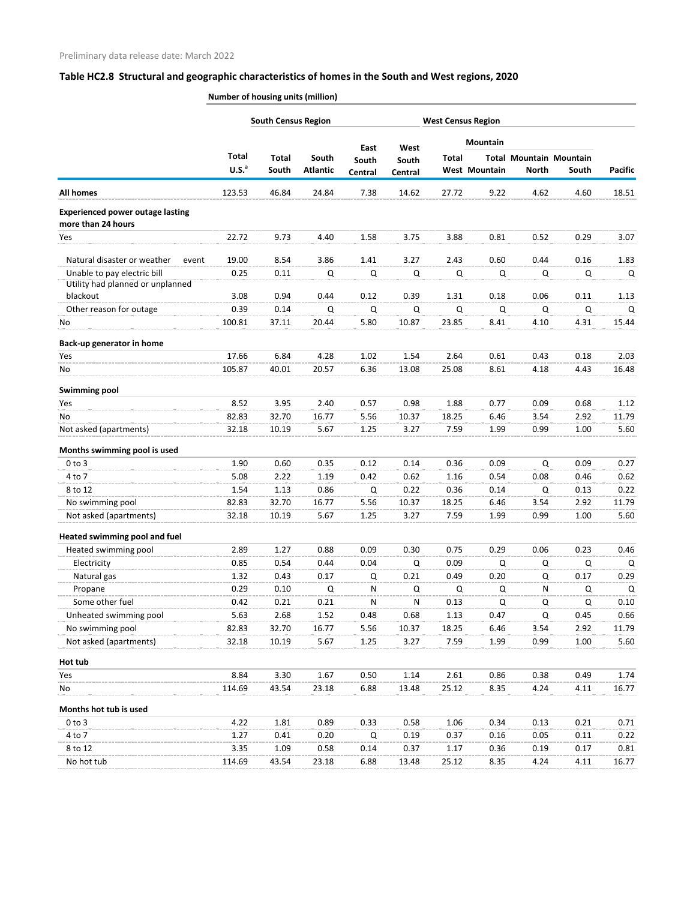|                                         |                   | <b>South Census Region</b> |                 |               |               |              | <b>West Census Region</b> |              |                                |                |
|-----------------------------------------|-------------------|----------------------------|-----------------|---------------|---------------|--------------|---------------------------|--------------|--------------------------------|----------------|
|                                         |                   |                            |                 |               |               |              | <b>Mountain</b>           |              |                                |                |
|                                         | <b>Total</b>      | <b>Total</b>               | South           | East<br>South | West<br>South | <b>Total</b> |                           |              | <b>Total Mountain Mountain</b> |                |
|                                         | U.S. <sup>a</sup> | South                      | <b>Atlantic</b> | Central       | Central       |              | <b>West Mountain</b>      | <b>North</b> | South                          | <b>Pacific</b> |
| <b>All homes</b>                        | 123.53            | 46.84                      | 24.84           | 7.38          | 14.62         | 27.72        | 9.22                      | 4.62         | 4.60                           | 18.51          |
| <b>Experienced power outage lasting</b> |                   |                            |                 |               |               |              |                           |              |                                |                |
| more than 24 hours                      |                   |                            |                 |               |               |              |                           |              |                                |                |
| Yes                                     | 22.72             | 9.73                       | 4.40            | 1.58          | 3.75          | 3.88         | 0.81                      | 0.52         | 0.29                           | 3.07           |
| Natural disaster or weather<br>event    | 19.00             | 8.54                       | 3.86            | 1.41          | 3.27          | 2.43         | 0.60                      | 0.44         | 0.16                           | 1.83           |
| Unable to pay electric bill             | 0.25              | 0.11                       | Q               | Q             | $\mathsf Q$   | Q            | Q                         | Q            | Q                              | Q              |
| Utility had planned or unplanned        |                   |                            |                 |               |               |              |                           |              |                                |                |
| blackout                                | 3.08              | 0.94                       | 0.44            | 0.12          | 0.39          | 1.31         | 0.18                      | 0.06         | 0.11                           | 1.13           |
| Other reason for outage                 | 0.39              | 0.14                       | Q               | Q             | Q             | Q            | Q                         | Q            | Q                              | Q              |
| No                                      | 100.81            | 37.11                      | 20.44           | 5.80          | 10.87         | 23.85        | 8.41                      | 4.10         | 4.31                           | 15.44          |
| Back-up generator in home               |                   |                            |                 |               |               |              |                           |              |                                |                |
| Yes                                     | 17.66             | 6.84                       | 4.28            | 1.02          | 1.54          | 2.64         | 0.61                      | 0.43         | 0.18                           | 2.03           |
| No                                      | 105.87            | 40.01                      | 20.57           | 6.36          | 13.08         | 25.08        | 8.61                      | 4.18         | 4.43                           | 16.48          |
| <b>Swimming pool</b>                    |                   |                            |                 |               |               |              |                           |              |                                |                |
| Yes                                     | 8.52              | 3.95                       | 2.40            | 0.57          | 0.98          | 1.88         | 0.77                      | 0.09         | 0.68                           | 1.12           |
| No                                      | 82.83             | 32.70                      | 16.77           | 5.56          | 10.37         | 18.25        | 6.46                      | 3.54         | 2.92                           | 11.79          |
| Not asked (apartments)                  | 32.18             | 10.19                      | 5.67            | 1.25          | 3.27          | 7.59         | 1.99                      | 0.99         | 1.00                           | 5.60           |
| Months swimming pool is used            |                   |                            |                 |               |               |              |                           |              |                                |                |
| $0$ to $3$                              | 1.90              | 0.60                       | 0.35            | 0.12          | 0.14          | 0.36         | 0.09                      | Q            | 0.09                           | 0.27           |
| 4 to 7                                  | 5.08              | 2.22                       | 1.19            | 0.42          | 0.62          | 1.16         | 0.54                      | 0.08         | 0.46                           | 0.62           |
| 8 to 12                                 | 1.54              | 1.13                       | 0.86            | Q             | 0.22          | 0.36         | 0.14                      | Q            | 0.13                           | 0.22           |
| No swimming pool                        | 82.83             | 32.70                      | 16.77           | 5.56          | 10.37         | 18.25        | 6.46                      | 3.54         | 2.92                           | 11.79          |
| Not asked (apartments)                  | 32.18             | 10.19                      | 5.67            | 1.25          | 3.27          | 7.59         | 1.99                      | 0.99         | 1.00                           | 5.60           |
| Heated swimming pool and fuel           |                   |                            |                 |               |               |              |                           |              |                                |                |
| Heated swimming pool                    | 2.89              | 1.27                       | 0.88            | 0.09          | 0.30          | 0.75         | 0.29                      | 0.06         | 0.23                           | 0.46           |
| Electricity                             | 0.85              | 0.54                       | 0.44            | 0.04          | Q             | 0.09         | Q                         | Q            | Q                              | Q              |
| Natural gas                             | 1.32              | 0.43                       | 0.17            | Q             | 0.21          | 0.49         | 0.20                      | Q            | 0.17                           | 0.29           |
| Propane                                 | 0.29              | 0.10                       | Q               | N             | Q             | Q            | Q                         | N            | Q                              | Q              |
| Some other fuel                         | 0.42              | 0.21                       | 0.21            | N             | N             | 0.13         | Q                         | Q            | Q                              | 0.10           |
| Unheated swimming pool                  | 5.63              | 2.68                       | 1.52            | 0.48          | 0.68          | 1.13         | 0.47                      | Q            | 0.45                           | 0.66           |
| No swimming pool                        | 82.83             | 32.70                      | 16.77           | 5.56          | 10.37         | 18.25        | 6.46                      | 3.54         | 2.92                           | 11.79          |
| Not asked (apartments)                  | 32.18             | 10.19                      | 5.67            | 1.25          | 3.27          | 7.59         | 1.99                      | 0.99         | 1.00                           | 5.60           |
| Hot tub                                 |                   |                            |                 |               |               |              |                           |              |                                |                |
| Yes                                     | 8.84              | 3.30                       | 1.67            | 0.50          | 1.14          | 2.61         | 0.86                      | 0.38         | 0.49                           | 1.74           |
| No                                      | 114.69            | 43.54                      | 23.18           | 6.88          | 13.48         | 25.12        | 8.35                      | 4.24         | 4.11                           | 16.77          |
| Months hot tub is used                  |                   |                            |                 |               |               |              |                           |              |                                |                |
| $0$ to $3$                              | 4.22              | 1.81                       | 0.89            | 0.33          | 0.58          | 1.06         | 0.34                      | 0.13         | 0.21                           | 0.71           |
| 4 to 7                                  | 1.27              | 0.41                       | 0.20            | Q             | 0.19          | 0.37         | 0.16                      | 0.05         | 0.11                           | 0.22           |
| 8 to 12                                 | 3.35              | 1.09                       | 0.58            | 0.14          | 0.37          | 1.17         | 0.36                      | 0.19         | 0.17                           | 0.81           |
| No hot tub                              | 114.69            | 43.54                      | 23.18           | 6.88          | 13.48         | 25.12        | 8.35                      | 4.24         | 4.11                           | 16.77          |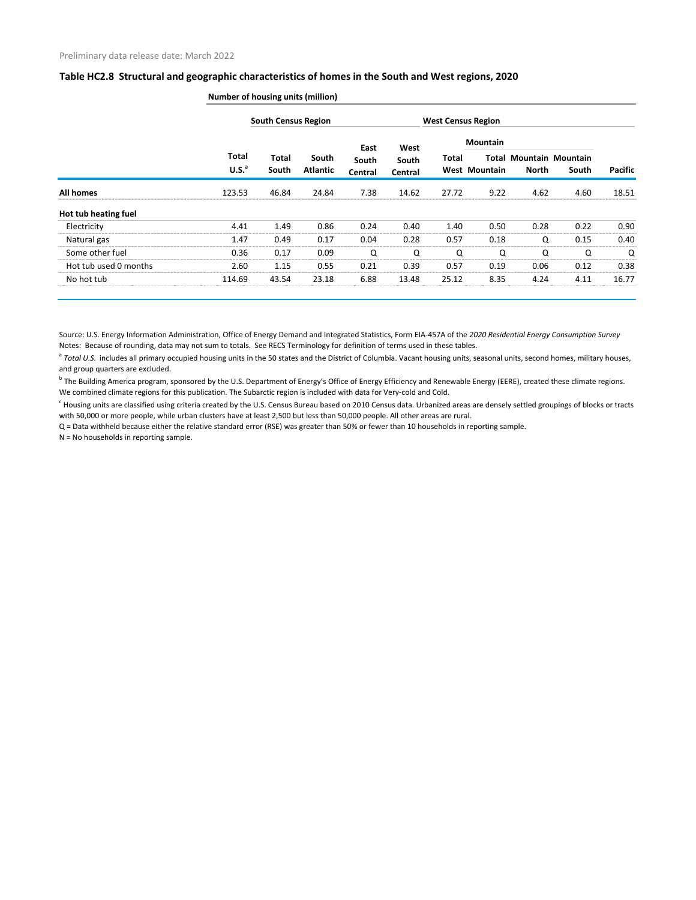|                       |                            | <b>South Census Region</b> |                          |                  |                  |       | <b>West Census Region</b> |                                         |       |         |
|-----------------------|----------------------------|----------------------------|--------------------------|------------------|------------------|-------|---------------------------|-----------------------------------------|-------|---------|
|                       |                            |                            |                          | East             | West             |       | <b>Mountain</b>           |                                         |       |         |
|                       | Total<br>U.S. <sup>a</sup> | <b>Total</b><br>South      | South<br><b>Atlantic</b> | South<br>Central | South<br>Central | Total | <b>West Mountain</b>      | <b>Total Mountain Mountain</b><br>North | South | Pacific |
| <b>All homes</b>      | 123.53                     | 46.84                      | 24.84                    | 7.38             | 14.62            | 27.72 | 9.22                      | 4.62                                    | 4.60  | 18.51   |
| Hot tub heating fuel  |                            |                            |                          |                  |                  |       |                           |                                         |       |         |
| Electricity           | 4.41                       | 1.49                       | 0.86                     | 0.24             | 0.40             | 1.40  | 0.50                      | 0.28                                    | 0.22  | 0.90    |
| Natural gas           | 1.47                       | 0.49                       | 0.17                     | 0.04             | 0.28             | 0.57  | 0.18                      |                                         | 0.15  | 0.40    |
| Some other fuel       | 0.36                       | 0.17                       | 0.09                     | O                | Q                | O     | O                         |                                         | O     | O       |
| Hot tub used 0 months | 2.60                       | 1.15                       | 0.55                     | 0.21             | 0.39             | 0.57  | 0.19                      | 0.06                                    | 0.12  | 0.38    |
| No hot tub            | 114.69                     | 43.54                      | 23.18                    | 6.88             | 13.48            | 25.12 | 8.35                      | 4.24                                    | 4.11  | 16.77   |

**Number of housing units (million)**

Source: U.S. Energy Information Administration, Office of Energy Demand and Integrated Statistics, Form EIA-457A of the *2020 Residential Energy Consumption Survey* Notes: Because of rounding, data may not sum to totals. See RECS Terminology for definition of terms used in these tables.

<sup>a</sup> Total U.S. includes all primary occupied housing units in the 50 states and the District of Columbia. Vacant housing units, seasonal units, second homes, military houses, and group quarters are excluded.

<sup>b</sup> The Building America program, sponsored by the U.S. Department of Energy's Office of Energy Efficiency and Renewable Energy (EERE), created these climate regions. We combined climate regions for this publication. The Subarctic region is included with data for Very-cold and Cold.

 $^c$  Housing units are classified using criteria created by the U.S. Census Bureau based on 2010 Census data. Urbanized areas are densely settled groupings of blocks or tracts with 50,000 or more people, while urban clusters have at least 2,500 but less than 50,000 people. All other areas are rural.

Q = Data withheld because either the relative standard error (RSE) was greater than 50% or fewer than 10 households in reporting sample.

N = No households in reporting sample.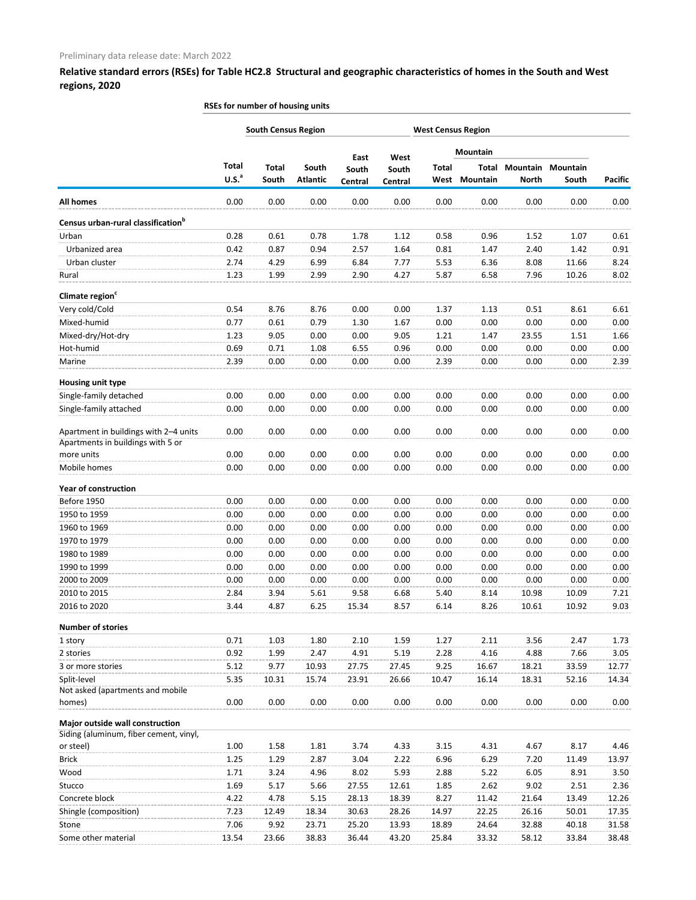|                                                |                   | <b>South Census Region</b> |                 |                  |                  | <b>West Census Region</b> |          |              |                          |                |
|------------------------------------------------|-------------------|----------------------------|-----------------|------------------|------------------|---------------------------|----------|--------------|--------------------------|----------------|
|                                                |                   |                            |                 |                  |                  |                           | Mountain |              |                          |                |
|                                                | <b>Total</b>      | <b>Total</b>               | South           | East             | West             | <b>Total</b>              | Total    |              | <b>Mountain Mountain</b> |                |
|                                                | U.S. <sup>a</sup> | South                      | <b>Atlantic</b> | South<br>Central | South<br>Central | West                      | Mountain | <b>North</b> | South                    | <b>Pacific</b> |
| <b>All homes</b>                               | 0.00              | 0.00                       | 0.00            | 0.00             | 0.00             | 0.00                      | 0.00     | 0.00         | 0.00                     | 0.00           |
| Census urban-rural classification <sup>b</sup> |                   |                            |                 |                  |                  |                           |          |              |                          |                |
| Urban                                          | 0.28              | 0.61                       | 0.78            | 1.78             | 1.12             | 0.58                      | 0.96     | 1.52         | 1.07                     | 0.61           |
| Urbanized area                                 | 0.42              | 0.87                       | 0.94            | 2.57             | 1.64             | 0.81                      | 1.47     | 2.40         | 1.42                     | 0.91           |
| Urban cluster                                  | 2.74              | 4.29                       | 6.99            | 6.84             | 7.77             | 5.53                      | 6.36     | 8.08         | 11.66                    | 8.24           |
| Rural                                          | 1.23              | 1.99                       | 2.99            | 2.90             | 4.27             | 5.87                      | 6.58     | 7.96         | 10.26                    | 8.02           |
| Climate region <sup>c</sup>                    |                   |                            |                 |                  |                  |                           |          |              |                          |                |
| Very cold/Cold                                 | 0.54              | 8.76                       | 8.76            | 0.00             | 0.00             | 1.37                      | 1.13     | 0.51         | 8.61                     | 6.61           |
| Mixed-humid                                    | 0.77              | 0.61                       | 0.79            | 1.30             | 1.67             | 0.00                      | 0.00     | 0.00         | 0.00                     | 0.00           |
| Mixed-dry/Hot-dry                              | 1.23              | 9.05                       | 0.00            | 0.00             | 9.05             | 1.21                      | 1.47     | 23.55        | 1.51                     | 1.66           |
| Hot-humid                                      | 0.69              | 0.71                       | 1.08            | 6.55             | 0.96             | 0.00                      | 0.00     | 0.00         | 0.00                     | 0.00           |
| Marine                                         | 2.39              | 0.00                       | 0.00            | 0.00             | 0.00             | 2.39                      | 0.00     | 0.00         | 0.00                     | 2.39           |
| Housing unit type                              |                   |                            |                 |                  |                  |                           |          |              |                          |                |
| Single-family detached                         | 0.00              | 0.00                       | 0.00            | 0.00             | 0.00             | 0.00                      | 0.00     | 0.00         | 0.00                     | 0.00           |
| Single-family attached                         | 0.00              | 0.00                       | 0.00            | 0.00             | 0.00             | 0.00                      | 0.00     | 0.00         | 0.00                     | 0.00           |
| Apartment in buildings with 2-4 units          | 0.00              | 0.00                       | 0.00            | 0.00             | 0.00             | 0.00                      | 0.00     | 0.00         | 0.00                     | 0.00           |
| Apartments in buildings with 5 or              |                   |                            |                 |                  |                  |                           |          |              |                          |                |
| more units                                     | 0.00              | 0.00                       | 0.00            | 0.00             | 0.00             | 0.00                      | 0.00     | 0.00         | 0.00                     | 0.00           |
| Mobile homes                                   | 0.00              | 0.00                       | 0.00            | 0.00             | 0.00             | 0.00                      | 0.00     | 0.00         | 0.00                     | 0.00           |
| <b>Year of construction</b>                    |                   |                            |                 |                  |                  |                           |          |              |                          |                |
| Before 1950                                    | 0.00              | 0.00                       | 0.00            | 0.00             | 0.00             | 0.00                      | 0.00     | 0.00         | 0.00                     | 0.00           |
| 1950 to 1959                                   | 0.00              | 0.00                       | 0.00            | 0.00             | 0.00             | 0.00                      | 0.00     | 0.00         | 0.00                     | 0.00           |
| 1960 to 1969                                   | 0.00              | 0.00                       | 0.00            | 0.00             | 0.00             | 0.00                      | 0.00     | 0.00         | 0.00                     | 0.00           |
| 1970 to 1979                                   | 0.00              | 0.00                       | 0.00            | 0.00             | 0.00             | 0.00                      | 0.00     | 0.00         | 0.00                     | 0.00           |
| 1980 to 1989                                   | 0.00              | 0.00                       | 0.00            | 0.00             | 0.00             | 0.00                      | 0.00     | 0.00         | 0.00                     | 0.00           |
| 1990 to 1999                                   | 0.00              | 0.00                       | 0.00            | 0.00             | 0.00             | 0.00                      | 0.00     | 0.00         | 0.00                     | 0.00           |
| 2000 to 2009                                   | 0.00              | 0.00                       | 0.00            | 0.00             | 0.00             | 0.00                      | 0.00     | 0.00         | 0.00                     | 0.00           |
| 2010 to 2015                                   | 2.84              | 3.94                       | 5.61            | 9.58             | 6.68             | 5.40                      | 8.14     | 10.98        | 10.09                    | 7.21           |
| 2016 to 2020                                   | 3.44              | 4.87                       | 6.25            | 15.34            | 8.57             | 6.14                      | 8.26     | 10.61        | 10.92                    | 9.03           |
| <b>Number of stories</b>                       |                   |                            |                 |                  |                  |                           |          |              |                          |                |
| 1 story                                        | 0.71              | 1.03                       | 1.80            | 2.10             | 1.59             | 1.27                      | 2.11     | 3.56         | 2.47                     | 1.73           |
| 2 stories                                      | 0.92              | 1.99                       | 2.47            | 4.91             | 5.19             | 2.28                      | 4.16     | 4.88         | 7.66                     | 3.05           |
| 3 or more stories                              | 5.12              | 9.77                       | 10.93           | 27.75            | 27.45            | 9.25                      | 16.67    | 18.21        | 33.59                    | 12.77          |
| Split-level                                    | 5.35              | 10.31                      | 15.74           | 23.91            | 26.66            | 10.47                     | 16.14    | 18.31        | 52.16                    | 14.34          |
| Not asked (apartments and mobile               |                   |                            |                 |                  |                  |                           |          |              |                          |                |
| homes)                                         | 0.00              | 0.00                       | 0.00            | 0.00             | 0.00             | 0.00                      | 0.00     | 0.00         | 0.00                     | 0.00           |
| Major outside wall construction                |                   |                            |                 |                  |                  |                           |          |              |                          |                |
| Siding (aluminum, fiber cement, vinyl,         | 1.00              |                            | 1.81            | 3.74             | 4.33             |                           | 4.31     | 4.67         | 8.17                     |                |
| or steel)<br><b>Brick</b>                      | 1.25              | 1.58                       | 2.87            | 3.04             |                  | 3.15<br>6.96              | 6.29     | 7.20         | 11.49                    | 4.46<br>13.97  |
| Wood                                           | 1.71              | 1.29<br>3.24               | 4.96            | 8.02             | 2.22<br>5.93     | 2.88                      | 5.22     | 6.05         | 8.91                     | 3.50           |
| Stucco                                         | 1.69              | 5.17                       | 5.66            | 27.55            | 12.61            | 1.85                      | 2.62     | 9.02         | 2.51                     | 2.36           |
| Concrete block                                 | 4.22              | 4.78                       | 5.15            | 28.13            | 18.39            | 8.27                      | 11.42    | 21.64        | 13.49                    | 12.26          |
| Shingle (composition)                          | 7.23              | 12.49                      | 18.34           | 30.63            | 28.26            | 14.97                     | 22.25    | 26.16        | 50.01                    | 17.35          |
| Stone                                          | 7.06              | 9.92                       | 23.71           | 25.20            | 13.93            | 18.89                     | 24.64    | 32.88        | 40.18                    | 31.58          |
| Some other material                            | 13.54             | 23.66                      | 38.83           | 36.44            | 43.20            | 25.84                     | 33.32    | 58.12        | 33.84                    | 38.48          |

**RSEs for number of housing units**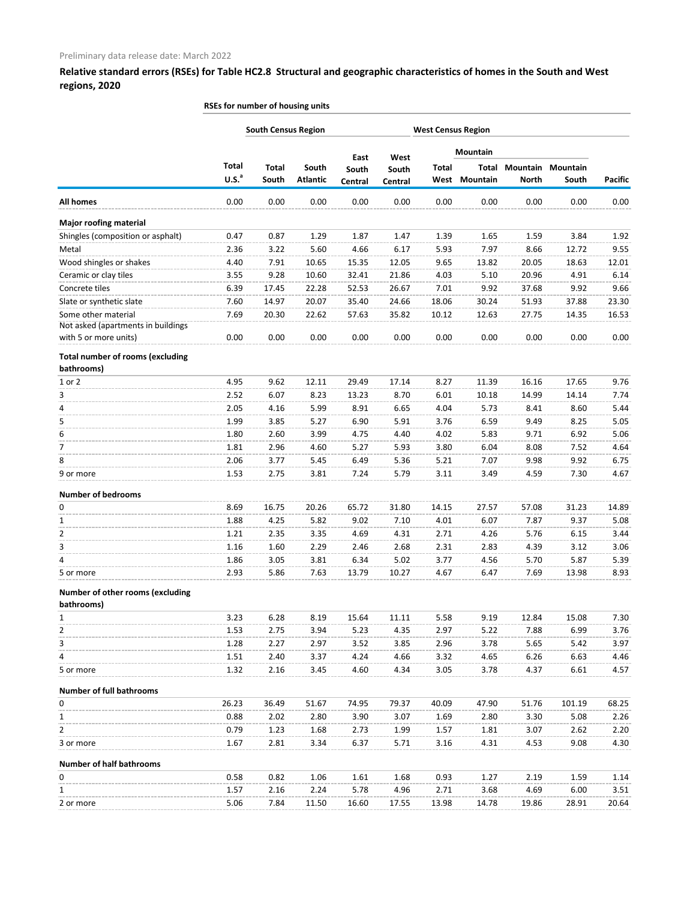|                                                           | RSEs for number of housing units |                            |                 |               |               |              |                           |              |          |                |
|-----------------------------------------------------------|----------------------------------|----------------------------|-----------------|---------------|---------------|--------------|---------------------------|--------------|----------|----------------|
|                                                           |                                  | <b>South Census Region</b> |                 |               |               |              | <b>West Census Region</b> |              |          |                |
|                                                           |                                  |                            |                 |               |               |              | <b>Mountain</b>           |              |          |                |
|                                                           | <b>Total</b>                     | <b>Total</b>               | South           | East<br>South | West<br>South | <b>Total</b> | Total                     | Mountain     | Mountain |                |
|                                                           | U.S. <sup>a</sup>                | South                      | <b>Atlantic</b> | Central       | Central       | West         | Mountain                  | <b>North</b> | South    | <b>Pacific</b> |
| <b>All homes</b>                                          | 0.00                             | 0.00                       | 0.00            | 0.00          | 0.00          | 0.00         | 0.00                      | 0.00         | 0.00     | 0.00           |
| <b>Major roofing material</b>                             |                                  |                            |                 |               |               |              |                           |              |          |                |
| Shingles (composition or asphalt)                         | 0.47                             | 0.87                       | 1.29            | 1.87          | 1.47          | 1.39         | 1.65                      | 1.59         | 3.84     | 1.92           |
| Metal                                                     | 2.36                             | 3.22                       | 5.60            | 4.66          | 6.17          | 5.93         | 7.97                      | 8.66         | 12.72    | 9.55           |
| Wood shingles or shakes                                   | 4.40                             | 7.91                       | 10.65           | 15.35         | 12.05         | 9.65         | 13.82                     | 20.05        | 18.63    | 12.01          |
| Ceramic or clay tiles                                     | 3.55                             | 9.28                       | 10.60           | 32.41         | 21.86         | 4.03         | 5.10                      | 20.96        | 4.91     | 6.14           |
| Concrete tiles                                            | 6.39                             | 17.45                      | 22.28           | 52.53         | 26.67         | 7.01         | 9.92                      | 37.68        | 9.92     | 9.66           |
| Slate or synthetic slate                                  | 7.60                             | 14.97                      | 20.07           | 35.40         | 24.66         | 18.06        | 30.24                     | 51.93        | 37.88    | 23.30          |
| Some other material<br>Not asked (apartments in buildings | 7.69                             | 20.30                      | 22.62           | 57.63         | 35.82         | 10.12        | 12.63                     | 27.75        | 14.35    | 16.53          |
| with 5 or more units)                                     | 0.00                             | 0.00                       | 0.00            | 0.00          | 0.00          | 0.00         | 0.00                      | 0.00         | 0.00     | 0.00           |
| <b>Total number of rooms (excluding</b><br>bathrooms)     |                                  |                            |                 |               |               |              |                           |              |          |                |
| 1 or 2                                                    | 4.95                             | 9.62                       | 12.11           | 29.49         | 17.14         | 8.27         | 11.39                     | 16.16        | 17.65    | 9.76           |
| 3                                                         | 2.52                             | 6.07                       | 8.23            | 13.23         | 8.70          | 6.01         | 10.18                     | 14.99        | 14.14    | 7.74           |
| 4                                                         | 2.05                             | 4.16                       | 5.99            | 8.91          | 6.65          | 4.04         | 5.73                      | 8.41         | 8.60     | 5.44           |
| 5                                                         | 1.99                             | 3.85                       | 5.27            | 6.90          | 5.91          | 3.76         | 6.59                      | 9.49         | 8.25     | 5.05           |
| 6                                                         | 1.80                             | 2.60                       | 3.99            | 4.75          | 4.40          | 4.02         | 5.83                      | 9.71         | 6.92     | 5.06           |
| 7                                                         | 1.81                             | 2.96                       | 4.60            | 5.27          | 5.93          | 3.80         | 6.04                      | 8.08         | 7.52     | 4.64           |
| 8                                                         | 2.06                             | 3.77                       | 5.45            | 6.49          | 5.36          | 5.21         | 7.07                      | 9.98         | 9.92     | 6.75           |
| 9 or more                                                 | 1.53                             | 2.75                       | 3.81            | 7.24          | 5.79          | 3.11         | 3.49                      | 4.59         | 7.30     | 4.67           |
| <b>Number of bedrooms</b>                                 |                                  |                            |                 |               |               |              |                           |              |          |                |
| n                                                         | 8.69                             | 16.75                      | 20.26           | 65.72         | 31.80         | 14.15        | 27.57                     | 57.08        | 31.23    | 14.89          |
| $\mathbf{1}$                                              | 1.88                             | 4.25                       | 5.82            | 9.02          | 7.10          | 4.01         | 6.07                      | 7.87         | 9.37     | 5.08           |
| 2                                                         | 1.21                             | 2.35                       | 3.35            | 4.69          | 4.31          | 2.71         | 4.26                      | 5.76         | 6.15     | 3.44           |
| 3                                                         | 1.16                             | 1.60                       | 2.29            | 2.46          | 2.68          | 2.31         | 2.83                      | 4.39         | 3.12     | 3.06           |
| 4                                                         | 1.86                             | 3.05                       | 3.81            | 6.34          | 5.02          | 3.77         | 4.56                      | 5.70         | 5.87     | 5.39           |
| 5 or more                                                 | 2.93                             | 5.86                       | 7.63            | 13.79         | 10.27         | 4.67         | 6.47                      | 7.69         | 13.98    | 8.93           |
| Number of other rooms (excluding<br>bathrooms)            |                                  |                            |                 |               |               |              |                           |              |          |                |
| $\mathbf{1}$                                              | 3.23                             | 6.28                       | 8.19            | 15.64         | 11.11         | 5.58         | 9.19                      | 12.84        | 15.08    | 7.30           |
| 2                                                         | 1.53                             | 2.75                       | 3.94            | 5.23          | 4.35          | 2.97         | 5.22                      | 7.88         | 6.99     | 3.76           |
| 3                                                         | 1.28                             | 2.27                       | 2.97            | 3.52          | 3.85          | 2.96         | 3.78                      | 5.65         | 5.42     | 3.97           |
| 4                                                         | 1.51                             | 2.40                       | 3.37            | 4.24          | 4.66          | 3.32         | 4.65                      | 6.26         | 6.63     | 4.46           |
| 5 or more                                                 | 1.32                             | 2.16                       | 3.45            | 4.60          | 4.34          | 3.05         | 3.78                      | 4.37         | 6.61     | 4.57           |
| <b>Number of full bathrooms</b>                           |                                  |                            |                 |               |               |              |                           |              |          |                |
| 0                                                         | 26.23                            | 36.49                      | 51.67           | 74.95         | 79.37         | 40.09        | 47.90                     | 51.76        | 101.19   | 68.25          |
| 1                                                         | 0.88                             | 2.02                       | 2.80            | 3.90          | 3.07          | 1.69         | 2.80                      | 3.30         | 5.08     | 2.26           |
| 2                                                         | 0.79                             | 1.23                       | 1.68            | 2.73          | 1.99          | 1.57         | 1.81                      | 3.07         | 2.62     | 2.20           |
| 3 or more                                                 | 1.67                             | 2.81                       | 3.34            | 6.37          | 5.71          | 3.16         | 4.31                      | 4.53         | 9.08     | 4.30           |
| <b>Number of half bathrooms</b>                           |                                  |                            |                 |               |               |              |                           |              |          |                |
| 0                                                         | 0.58                             | 0.82                       | 1.06            | 1.61          | 1.68          | 0.93         | 1.27                      | 2.19         | 1.59     | 1.14           |
| 1                                                         | 1.57                             | 2.16                       | 2.24            | 5.78          | 4.96          | 2.71         | 3.68                      | 4.69         | 6.00     | 3.51           |
| 2 or more                                                 | 5.06                             | 7.84                       | 11.50           | 16.60         | 17.55         | 13.98        | 14.78                     | 19.86        | 28.91    | 20.64          |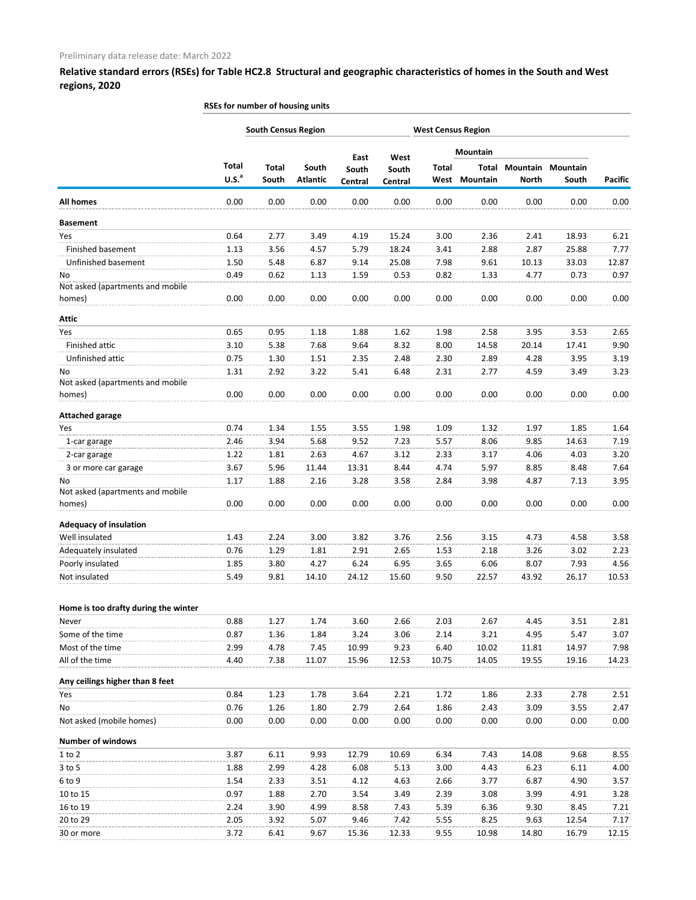|                                            | RSEs for number of housing units  |                            |                          |                  |                  |                      |                           |               |                            |                |
|--------------------------------------------|-----------------------------------|----------------------------|--------------------------|------------------|------------------|----------------------|---------------------------|---------------|----------------------------|----------------|
|                                            |                                   | <b>South Census Region</b> |                          |                  |                  |                      | <b>West Census Region</b> |               |                            |                |
|                                            |                                   |                            |                          | East             | West             |                      | Mountain                  |               |                            |                |
|                                            | <b>Total</b><br>U.S. <sup>a</sup> | <b>Total</b><br>South      | South<br><b>Atlantic</b> | South<br>Central | South<br>Central | <b>Total</b><br>West | Total<br>Mountain         | <b>North</b>  | Mountain Mountain<br>South | <b>Pacific</b> |
| <b>All homes</b>                           | 0.00                              | 0.00                       | 0.00                     | 0.00             | 0.00             | 0.00                 | 0.00                      | 0.00          | 0.00                       | 0.00           |
| <b>Basement</b>                            |                                   |                            |                          |                  |                  |                      |                           |               |                            |                |
| Yes                                        | 0.64                              | 2.77                       | 3.49                     | 4.19             | 15.24            | 3.00                 | 2.36                      | 2.41          | 18.93                      | 6.21           |
| Finished basement                          | 1.13                              | 3.56                       | 4.57                     | 5.79             | 18.24            | 3.41                 | 2.88                      | 2.87          | 25.88                      | 7.77           |
| Unfinished basement                        | 1.50                              | 5.48                       | 6.87                     | 9.14             | 25.08            | 7.98                 | 9.61                      | 10.13         | 33.03                      | 12.87          |
| No                                         | 0.49                              | 0.62                       | 1.13                     | 1.59             | 0.53             | 0.82                 | 1.33                      | 4.77          | 0.73                       | 0.97           |
| Not asked (apartments and mobile           |                                   |                            |                          |                  |                  |                      |                           |               |                            |                |
| homes)                                     | 0.00                              | 0.00                       | 0.00                     | 0.00             | 0.00             | 0.00                 | 0.00                      | 0.00          | 0.00                       | 0.00           |
| <b>Attic</b>                               |                                   |                            |                          |                  |                  |                      |                           |               |                            |                |
| Yes                                        | 0.65                              | 0.95                       | 1.18                     | 1.88             | 1.62             | 1.98                 | 2.58                      | 3.95          | 3.53                       | 2.65           |
| Finished attic                             | 3.10                              | 5.38                       | 7.68                     | 9.64             | 8.32             | 8.00                 | 14.58                     | 20.14         | 17.41                      | 9.90           |
| Unfinished attic                           | 0.75                              | 1.30                       | 1.51                     | 2.35             | 2.48             | 2.30                 | 2.89                      | 4.28          | 3.95                       | 3.19           |
| No                                         | 1.31                              | 2.92                       | 3.22                     | 5.41             | 6.48             | 2.31                 | 2.77                      | 4.59          | 3.49                       | 3.23           |
| Not asked (apartments and mobile<br>homes) | 0.00                              | 0.00                       | 0.00                     | 0.00             | 0.00             | 0.00                 | 0.00                      | 0.00          | 0.00                       | 0.00           |
| <b>Attached garage</b>                     |                                   |                            |                          |                  |                  |                      |                           |               |                            |                |
| Yes                                        | 0.74                              | 1.34                       | 1.55                     | 3.55             | 1.98             | 1.09                 | 1.32                      | 1.97          | 1.85                       | 1.64           |
| 1-car garage                               | 2.46                              | 3.94                       | 5.68                     | 9.52             | 7.23             | 5.57                 | 8.06                      | 9.85          | 14.63                      | 7.19           |
| 2-car garage                               | 1.22                              | 1.81                       | 2.63                     | 4.67             | 3.12             | 2.33                 | 3.17                      | 4.06          | 4.03                       | 3.20           |
| 3 or more car garage                       | 3.67                              | 5.96                       | 11.44                    | 13.31            | 8.44             | 4.74                 | 5.97                      | 8.85          | 8.48                       | 7.64           |
| No                                         | 1.17                              | 1.88                       | 2.16                     | 3.28             | 3.58             | 2.84                 | 3.98                      | 4.87          | 7.13                       | 3.95           |
| Not asked (apartments and mobile<br>homes) | 0.00                              | 0.00                       | 0.00                     | 0.00             | 0.00             | 0.00                 | 0.00                      | 0.00          | 0.00                       | 0.00           |
| <b>Adequacy of insulation</b>              |                                   |                            |                          |                  |                  |                      |                           |               |                            |                |
| Well insulated                             | 1.43                              | 2.24                       | 3.00                     | 3.82             | 3.76             | 2.56                 | 3.15                      | 4.73          | 4.58                       | 3.58           |
| Adequately insulated                       | 0.76                              | 1.29                       | 1.81                     | 2.91             | 2.65             | 1.53                 | 2.18                      | 3.26          | 3.02                       | 2.23           |
| Poorly insulated                           | 1.85                              | 3.80                       | 4.27                     | 6.24             | 6.95             | 3.65                 | 6.06                      | 8.07          | 7.93                       | 4.56           |
| Not insulated                              | 5.49                              | 9.81                       | 14.10                    | 24.12            | 15.60            | 9.50                 | 22.57                     | 43.92         | 26.17                      | 10.53          |
|                                            |                                   |                            |                          |                  |                  |                      |                           |               |                            |                |
| Home is too drafty during the winter       |                                   |                            |                          |                  |                  |                      |                           |               |                            |                |
| Never                                      | 0.88                              | 1.27                       | 1.74                     | 3.60             | 2.66             | 2.03                 | 2.67                      | 4.45          | 3.51                       | 2.81           |
| Some of the time                           | 0.87                              | 1.36                       | 1.84                     | 3.24             | 3.06             | 2.14                 | 3.21                      | 4.95          | 5.47                       | 3.07           |
| Most of the time                           | 2.99                              | 4.78                       | 7.45                     | 10.99            | 9.23             | 6.40                 | 10.02                     | 11.81         | 14.97                      | 7.98           |
| All of the time                            | 4.40                              | 7.38                       | 11.07                    | 15.96            | 12.53            | 10.75                | 14.05                     | 19.55         | 19.16                      | 14.23          |
| Any ceilings higher than 8 feet            |                                   |                            |                          |                  |                  |                      |                           |               |                            |                |
| Yes                                        | 0.84                              | 1.23                       | 1.78                     | 3.64             | 2.21             | 1.72                 | 1.86                      | 2.33          | 2.78                       | 2.51           |
| No                                         | 0.76                              | 1.26                       | 1.80                     | 2.79             | 2.64             | 1.86                 | 2.43                      | 3.09          | 3.55                       | 2.47           |
| Not asked (mobile homes)                   | 0.00                              | 0.00                       | 0.00                     | 0.00             | 0.00             | 0.00                 | 0.00                      | 0.00          | 0.00                       | 0.00           |
| <b>Number of windows</b>                   |                                   |                            |                          |                  |                  |                      |                           |               |                            |                |
| $1$ to $2$                                 | 3.87                              | 6.11                       | 9.93                     | 12.79            | 10.69            | 6.34                 | 7.43                      | 14.08         | 9.68                       | 8.55           |
| $3$ to $5$                                 | 1.88                              | 2.99                       | 4.28                     | 6.08             | 5.13             | 3.00                 | 4.43                      | 6.23          | 6.11                       | 4.00           |
| 6 to 9                                     | 1.54                              | 2.33                       | 3.51                     | 4.12             | 4.63             | 2.66                 | 3.77                      | 6.87          | 4.90                       | 3.57           |
| 10 to 15                                   | 0.97                              | 1.88                       | 2.70                     | 3.54             | 3.49             | 2.39                 | 3.08                      | 3.99          | 4.91                       | 3.28           |
| 16 to 19<br>20 to 29                       | 2.24                              | 3.90                       | 4.99                     | 8.58             | 7.43             | 5.39                 | 6.36                      | 9.30          | 8.45                       | 7.21<br>7.17   |
| 30 or more                                 | 2.05<br>3.72                      | 3.92<br>6.41               | 5.07<br>9.67             | 9.46<br>15.36    | 7.42<br>12.33    | 5.55<br>9.55         | 8.25<br>10.98             | 9.63<br>14.80 | 12.54<br>16.79             | 12.15          |
|                                            |                                   |                            |                          |                  |                  |                      |                           |               |                            |                |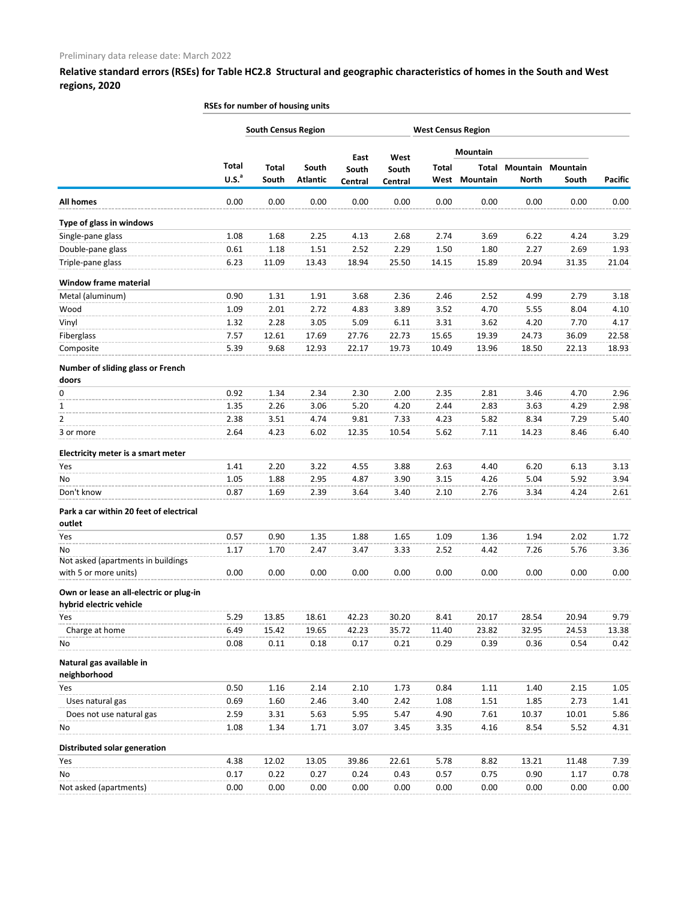|                                                                    | RSEs for number of housing units |                            |                          |                  |                  |                           |                          |              |                            |                |
|--------------------------------------------------------------------|----------------------------------|----------------------------|--------------------------|------------------|------------------|---------------------------|--------------------------|--------------|----------------------------|----------------|
|                                                                    |                                  | <b>South Census Region</b> |                          |                  |                  | <b>West Census Region</b> |                          |              |                            |                |
|                                                                    |                                  |                            |                          | East             | West             |                           | Mountain                 |              |                            |                |
|                                                                    | Total<br>U.S. <sup>a</sup>       | <b>Total</b><br>South      | South<br><b>Atlantic</b> | South<br>Central | South<br>Central | <b>Total</b><br>West      | Total<br><b>Mountain</b> | <b>North</b> | Mountain Mountain<br>South | <b>Pacific</b> |
| <b>All homes</b>                                                   | 0.00                             | 0.00                       | 0.00                     | 0.00             | 0.00             | 0.00                      | 0.00                     | 0.00         | 0.00                       | 0.00           |
| Type of glass in windows                                           |                                  |                            |                          |                  |                  |                           |                          |              |                            |                |
| Single-pane glass                                                  | 1.08                             | 1.68                       | 2.25                     | 4.13             | 2.68             | 2.74                      | 3.69                     | 6.22         | 4.24                       | 3.29           |
| Double-pane glass                                                  | 0.61                             | 1.18                       | 1.51                     | 2.52             | 2.29             | 1.50                      | 1.80                     | 2.27         | 2.69                       | 1.93           |
| Triple-pane glass                                                  | 6.23                             | 11.09                      | 13.43                    | 18.94            | 25.50            | 14.15                     | 15.89                    | 20.94        | 31.35                      | 21.04          |
| <b>Window frame material</b>                                       |                                  |                            |                          |                  |                  |                           |                          |              |                            |                |
| Metal (aluminum)                                                   | 0.90                             | 1.31                       | 1.91                     | 3.68             | 2.36             | 2.46                      | 2.52                     | 4.99         | 2.79                       | 3.18           |
| Wood                                                               | 1.09                             | 2.01                       | 2.72                     | 4.83             | 3.89             | 3.52                      | 4.70                     | 5.55         | 8.04                       | 4.10           |
| Vinyl                                                              | 1.32                             | 2.28                       | 3.05                     | 5.09             | 6.11             | 3.31                      | 3.62                     | 4.20         | 7.70                       | 4.17           |
| Fiberglass                                                         | 7.57                             | 12.61                      | 17.69                    | 27.76            | 22.73            | 15.65                     | 19.39                    | 24.73        | 36.09                      | 22.58          |
| Composite                                                          | 5.39                             | 9.68                       | 12.93                    | 22.17            | 19.73            | 10.49                     | 13.96                    | 18.50        | 22.13                      | 18.93          |
| Number of sliding glass or French<br>doors                         |                                  |                            |                          |                  |                  |                           |                          |              |                            |                |
| 0                                                                  | 0.92                             | 1.34                       | 2.34                     | 2.30             | 2.00             | 2.35                      | 2.81                     | 3.46         | 4.70                       | 2.96           |
| 1                                                                  | 1.35                             | 2.26                       | 3.06                     | 5.20             | 4.20             | 2.44                      | 2.83                     | 3.63         | 4.29                       | 2.98           |
| 2                                                                  | 2.38                             | 3.51                       | 4.74                     | 9.81             | 7.33             | 4.23                      | 5.82                     | 8.34         | 7.29                       | 5.40           |
| 3 or more                                                          | 2.64                             | 4.23                       | 6.02                     | 12.35            | 10.54            | 5.62                      | 7.11                     | 14.23        | 8.46                       | 6.40           |
| Electricity meter is a smart meter                                 |                                  |                            |                          |                  |                  |                           |                          |              |                            |                |
| Yes                                                                | 1.41                             | 2.20                       | 3.22                     | 4.55             | 3.88             | 2.63                      | 4.40                     | 6.20         | 6.13                       | 3.13           |
| No                                                                 | 1.05                             | 1.88                       | 2.95                     | 4.87             | 3.90             | 3.15                      | 4.26                     | 5.04         | 5.92                       | 3.94           |
| Don't know                                                         | 0.87                             | 1.69                       | 2.39                     | 3.64             | 3.40             | 2.10                      | 2.76                     | 3.34         | 4.24                       | 2.61           |
| Park a car within 20 feet of electrical<br>outlet                  |                                  |                            |                          |                  |                  |                           |                          |              |                            |                |
| Yes                                                                | 0.57                             | 0.90                       | 1.35                     | 1.88             | 1.65             | 1.09                      | 1.36                     | 1.94         | 2.02                       | 1.72           |
| No                                                                 | 1.17                             | 1.70                       | 2.47                     | 3.47             | 3.33             | 2.52                      | 4.42                     | 7.26         | 5.76                       | 3.36           |
| Not asked (apartments in buildings                                 |                                  |                            |                          |                  |                  |                           |                          |              |                            |                |
| with 5 or more units)                                              | 0.00                             | 0.00                       | 0.00                     | 0.00             | 0.00             | 0.00                      | 0.00                     | 0.00         | 0.00                       | 0.00           |
| Own or lease an all-electric or plug-in<br>hybrid electric vehicle |                                  |                            |                          |                  |                  |                           |                          |              |                            |                |
| Yes                                                                | 5.29                             | 13.85                      | 18.61                    | 42.23            | 30.20            | 8.41                      | 20.17                    | 28.54        | 20.94                      | 9.79           |
| Charge at home                                                     | 6.49                             | 15.42                      | 19.65                    | 42.23            | 35.72            | 11.40                     | 23.82                    | 32.95        | 24.53                      | 13.38          |
| No                                                                 | 0.08                             | 0.11                       | 0.18                     | 0.17             | 0.21             | 0.29                      | 0.39                     | 0.36         | 0.54                       | 0.42           |
| Natural gas available in<br>neighborhood                           |                                  |                            |                          |                  |                  |                           |                          |              |                            |                |
| Yes                                                                | 0.50                             | 1.16                       | 2.14                     | 2.10             | 1.73             | 0.84                      | 1.11                     | 1.40         | 2.15                       | 1.05           |
| Uses natural gas                                                   | 0.69                             | 1.60                       | 2.46                     | 3.40             | 2.42             | 1.08                      | 1.51                     | 1.85         | 2.73                       | 1.41           |
| Does not use natural gas                                           | 2.59                             | 3.31                       | 5.63                     | 5.95             | 5.47             | 4.90                      | 7.61                     | 10.37        | 10.01                      | 5.86           |
| No                                                                 | 1.08                             | 1.34                       | 1.71                     | 3.07             | 3.45             | 3.35                      | 4.16                     | 8.54         | 5.52                       | 4.31           |
| Distributed solar generation                                       |                                  |                            |                          |                  |                  |                           |                          |              |                            |                |
| Yes                                                                | 4.38                             | 12.02                      | 13.05                    | 39.86            | 22.61            | 5.78                      | 8.82                     | 13.21        | 11.48                      | 7.39           |
| No                                                                 | 0.17                             | 0.22                       | 0.27                     | 0.24             | 0.43             | 0.57                      | 0.75                     | 0.90         | 1.17                       | 0.78           |
| Not asked (apartments)                                             | 0.00                             | 0.00                       | 0.00                     | 0.00             | 0.00             | 0.00                      | 0.00                     | 0.00         | 0.00                       | 0.00           |
|                                                                    |                                  |                            |                          |                  |                  |                           |                          |              |                            |                |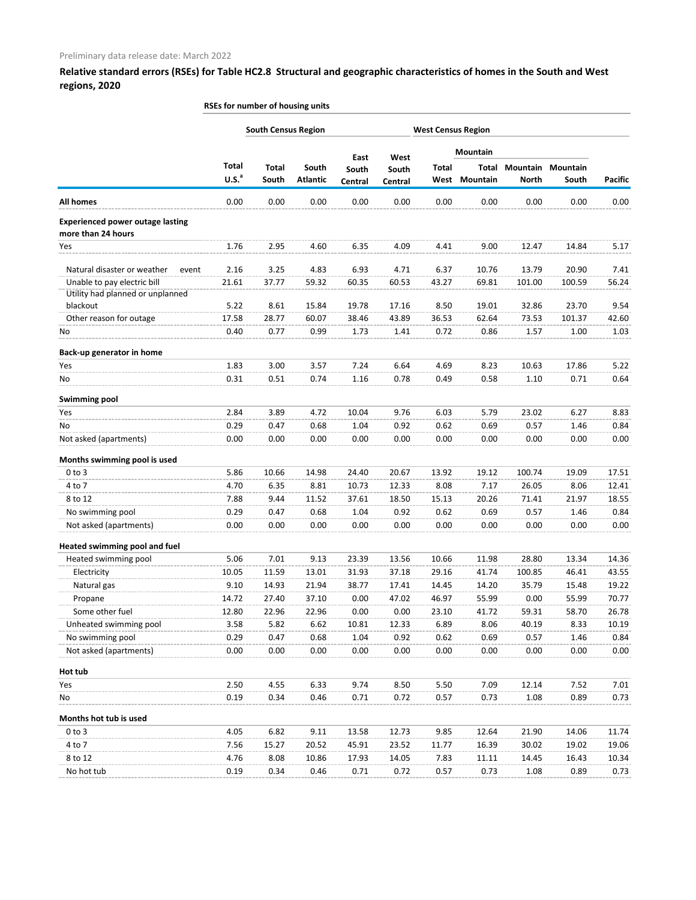|                                                               | RSEs for number of housing units |                            |                          |                  |                  |                           |                   |              |                            |                |
|---------------------------------------------------------------|----------------------------------|----------------------------|--------------------------|------------------|------------------|---------------------------|-------------------|--------------|----------------------------|----------------|
|                                                               |                                  | <b>South Census Region</b> |                          |                  |                  | <b>West Census Region</b> |                   |              |                            |                |
|                                                               |                                  |                            |                          | East             | West             |                           | Mountain          |              |                            |                |
|                                                               | Total<br>U.S. <sup>a</sup>       | <b>Total</b><br>South      | South<br><b>Atlantic</b> | South<br>Central | South<br>Central | <b>Total</b><br>West      | Total<br>Mountain | <b>North</b> | Mountain Mountain<br>South | <b>Pacific</b> |
| <b>All homes</b>                                              | 0.00                             | 0.00                       | 0.00                     | 0.00             | 0.00             | 0.00                      | 0.00              | 0.00         | 0.00                       | 0.00           |
| <b>Experienced power outage lasting</b><br>more than 24 hours |                                  |                            |                          |                  |                  |                           |                   |              |                            |                |
| <b>Yes</b>                                                    | 1.76                             | 2.95                       | 4.60                     | 6.35             | 4.09             | 4.41                      | 9.00              | 12.47        | 14.84                      | 5.17           |
| Natural disaster or weather<br>event                          | 2.16                             | 3.25                       | 4.83                     | 6.93             | 4.71             | 6.37                      | 10.76             | 13.79        | 20.90                      | 7.41           |
| Unable to pay electric bill                                   | 21.61                            | 37.77                      | 59.32                    | 60.35            | 60.53            | 43.27                     | 69.81             | 101.00       | 100.59                     | 56.24          |
| Utility had planned or unplanned                              |                                  |                            |                          |                  |                  |                           |                   |              |                            |                |
| blackout                                                      | 5.22                             | 8.61                       | 15.84                    | 19.78            | 17.16            | 8.50                      | 19.01             | 32.86        | 23.70                      | 9.54           |
| Other reason for outage                                       | 17.58                            | 28.77                      | 60.07                    | 38.46            | 43.89            | 36.53                     | 62.64             | 73.53        | 101.37                     | 42.60          |
| No                                                            | 0.40                             | 0.77                       | 0.99                     | 1.73             | 1.41             | 0.72                      | 0.86              | 1.57         | 1.00                       | 1.03           |
| Back-up generator in home                                     |                                  |                            |                          |                  |                  |                           |                   |              |                            |                |
| <b>Yes</b>                                                    | 1.83                             | 3.00                       | 3.57                     | 7.24             | 6.64             | 4.69                      | 8.23              | 10.63        | 17.86                      | 5.22           |
| No                                                            | 0.31                             | 0.51                       | 0.74                     | 1.16             | 0.78             | 0.49                      | 0.58              | 1.10         | 0.71                       | 0.64           |
| <b>Swimming pool</b>                                          |                                  |                            |                          |                  |                  |                           |                   |              |                            |                |
| Yes                                                           | 2.84                             | 3.89                       | 4.72                     | 10.04            | 9.76             | 6.03                      | 5.79              | 23.02        | 6.27                       | 8.83           |
| No                                                            | 0.29                             | 0.47                       | 0.68                     | 1.04             | 0.92             | 0.62                      | 0.69              | 0.57         | 1.46                       | 0.84           |
| Not asked (apartments)                                        | 0.00                             | 0.00                       | 0.00                     | 0.00             | 0.00             | 0.00                      | 0.00              | 0.00         | 0.00                       | 0.00           |
| Months swimming pool is used                                  |                                  |                            |                          |                  |                  |                           |                   |              |                            |                |
| $0$ to $3$                                                    | 5.86                             | 10.66                      | 14.98                    | 24.40            | 20.67            | 13.92                     | 19.12             | 100.74       | 19.09                      | 17.51          |
| 4 to 7                                                        | 4.70                             | 6.35                       | 8.81                     | 10.73            | 12.33            | 8.08                      | 7.17              | 26.05        | 8.06                       | 12.41          |
| 8 to 12                                                       | 7.88                             | 9.44                       | 11.52                    | 37.61            | 18.50            | 15.13                     | 20.26             | 71.41        | 21.97                      | 18.55          |
| No swimming pool                                              | 0.29                             | 0.47                       | 0.68                     | 1.04             | 0.92             | 0.62                      | 0.69              | 0.57         | 1.46                       | 0.84           |
| Not asked (apartments)                                        | 0.00                             | 0.00                       | 0.00                     | 0.00             | 0.00             | 0.00                      | 0.00              | 0.00         | 0.00                       | 0.00           |
| Heated swimming pool and fuel                                 |                                  |                            |                          |                  |                  |                           |                   |              |                            |                |
| Heated swimming pool                                          | 5.06                             | 7.01                       | 9.13                     | 23.39            | 13.56            | 10.66                     | 11.98             | 28.80        | 13.34                      | 14.36          |
| Electricity                                                   | 10.05                            | 11.59                      | 13.01                    | 31.93            | 37.18            | 29.16                     | 41.74             | 100.85       | 46.41                      | 43.55          |
| Natural gas                                                   | 9.10                             | 14.93                      | 21.94                    | 38.77            | 17.41            | 14.45                     | 14.20             | 35.79        | 15.48                      | 19.22          |
| Propane                                                       | 14.72                            | 27.40                      | 37.10                    | 0.00             | 47.02            | 46.97                     | 55.99             | 0.00         | 55.99                      | 70.77          |
| Some other fuel                                               | 12.80                            | 22.96                      | 22.96                    | 0.00             | 0.00             | 23.10                     | 41.72             | 59.31        | 58.70                      | 26.78          |
| Unheated swimming pool                                        | 3.58                             | 5.82                       | 6.62                     | 10.81            | 12.33            | 6.89                      | 8.06              | 40.19        | 8.33                       | 10.19          |
| No swimming pool                                              | 0.29                             | 0.47                       | 0.68                     | 1.04             | 0.92             | 0.62                      | 0.69              | 0.57         | 1.46                       | 0.84           |
| Not asked (apartments)                                        | 0.00                             | 0.00                       | 0.00                     | 0.00             | 0.00             | 0.00                      | 0.00              | 0.00         | 0.00                       | 0.00           |
| Hot tub                                                       |                                  |                            |                          |                  |                  |                           |                   |              |                            |                |
| Yes                                                           | 2.50                             | 4.55                       | 6.33                     | 9.74             | 8.50             | 5.50                      | 7.09              | 12.14        | 7.52                       | 7.01           |
| No                                                            | 0.19                             | 0.34                       | 0.46                     | 0.71             | 0.72             | 0.57                      | 0.73              | 1.08         | 0.89                       | 0.73           |
| Months hot tub is used                                        |                                  |                            |                          |                  |                  |                           |                   |              |                            |                |
| $0$ to $3$                                                    | 4.05                             | 6.82                       | 9.11                     | 13.58            | 12.73            | 9.85                      | 12.64             | 21.90        | 14.06                      | 11.74          |
| 4 to 7                                                        | 7.56                             | 15.27                      | 20.52                    | 45.91            | 23.52            | 11.77                     | 16.39             | 30.02        | 19.02                      | 19.06          |
| 8 to 12                                                       | 4.76                             | 8.08                       | 10.86                    | 17.93            | 14.05            | 7.83                      | 11.11             | 14.45        | 16.43                      | 10.34          |
| No hot tub                                                    | 0.19                             | 0.34                       | 0.46                     | 0.71             | 0.72             | 0.57                      | 0.73              | 1.08         | 0.89                       | 0.73           |